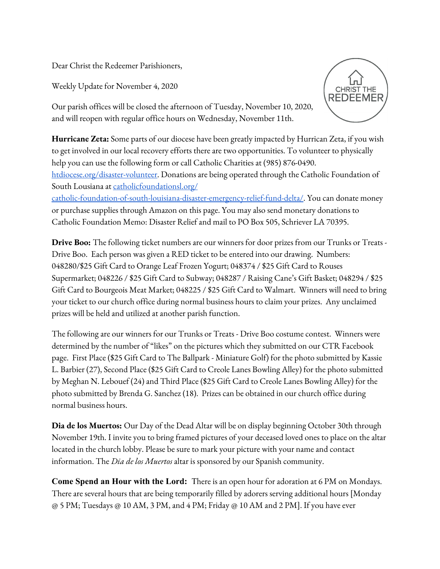Dear Christ the Redeemer Parishioners,

Weekly Update for November 4, 2020



Our parish offices will be closed the afternoon of Tuesday, November 10, 2020, and will reopen with regular office hours on Wednesday, November 11th.

**Hurricane Zeta:** Some parts of our diocese have been greatly impacted by Hurrican Zeta, if you wish to get involved in our local recovery efforts there are two opportunities. To volunteer to physically help you can use the following form or call Catholic Charities at (985) 876-0490. [htdiocese.org/disaster-volunteer.](https://htdiocese.org/disaster-volunteer) Donations are being operated through the Catholic Foundation of South Lousiana at [catholicfoundationsl.org/](http://www.catholicfoundationsl.org/catholic-) [catholic-foundation-of-south-louisiana-disaster-emergency-relief-fund-delta/](http://www.catholicfoundationsl.org/catholic-). You can donate money or purchase supplies through Amazon on this page. You may also send monetary donations to Catholic Foundation Memo: Disaster Relief and mail to PO Box 505, Schriever LA 70395.

**Drive Boo:** The following ticket numbers are our winners for door prizes from our Trunks or Treats - Drive Boo. Each person was given a RED ticket to be entered into our drawing. Numbers: 048280/\$25 Gift Card to Orange Leaf Frozen Yogurt; 048374 / \$25 Gift Card to Rouses Supermarket; 048226 / \$25 Gift Card to Subway; 048287 / Raising Cane's Gift Basket; 048294 / \$25 Gift Card to Bourgeois Meat Market; 048225 / \$25 Gift Card to Walmart. Winners will need to bring your ticket to our church office during normal business hours to claim your prizes. Any unclaimed prizes will be held and utilized at another parish function.

The following are our winners for our Trunks or Treats - Drive Boo costume contest. Winners were determined by the number of "likes" on the pictures which they submitted on our CTR Facebook page. First Place (\$25 Gift Card to The Ballpark - Miniature Golf) for the photo submitted by Kassie L. Barbier (27), Second Place (\$25 Gift Card to Creole Lanes Bowling Alley) for the photo submitted by Meghan N. Lebouef (24) and Third Place (\$25 Gift Card to Creole Lanes Bowling Alley) for the photo submitted by Brenda G. Sanchez (18). Prizes can be obtained in our church office during normal business hours.

**Dia de los Muertos:** Our Day of the Dead Altar will be on display beginning October 30th through November 19th. I invite you to bring framed pictures of your deceased loved ones to place on the altar located in the church lobby. Please be sure to mark your picture with your name and contact information. The *Dia de los Muertos* altar is sponsored by our Spanish community.

**Come Spend an Hour with the Lord:** There is an open hour for adoration at 6 PM on Mondays. There are several hours that are being temporarily filled by adorers serving additional hours [Monday @ 5 PM; Tuesdays @ 10 AM, 3 PM, and 4 PM; Friday @ 10 AM and 2 PM]. If you have ever